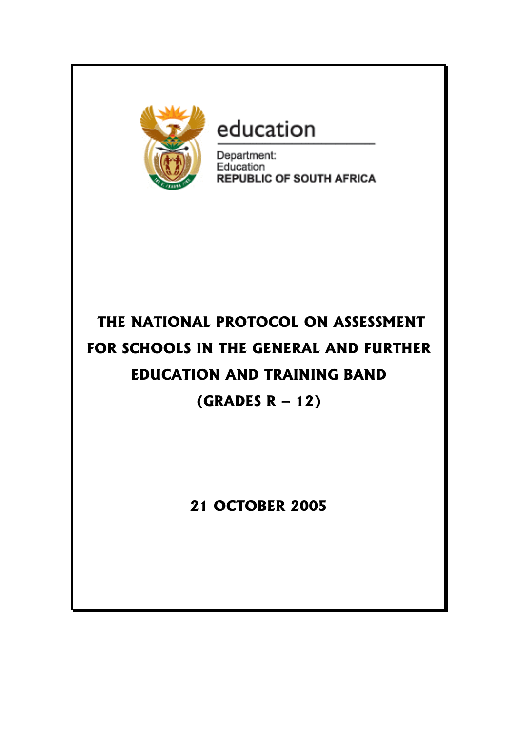

# education

Department: Education **REPUBLIC OF SOUTH AFRICA** 

# **THE NATIONAL PROTOCOL ON ASSESSMENT FOR SCHOOLS IN THE GENERAL AND FURTHER EDUCATION AND TRAINING BAND (GRADES R – 12)**

# **21 OCTOBER 2005**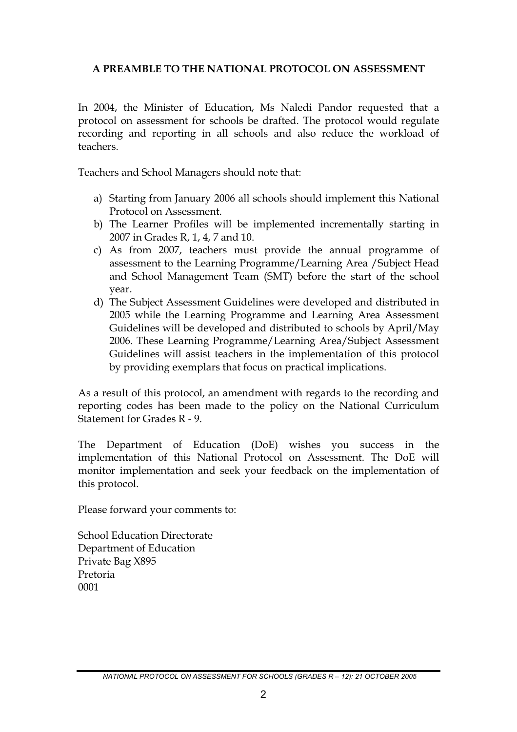## **A PREAMBLE TO THE NATIONAL PROTOCOL ON ASSESSMENT**

In 2004, the Minister of Education, Ms Naledi Pandor requested that a protocol on assessment for schools be drafted. The protocol would regulate recording and reporting in all schools and also reduce the workload of teachers.

Teachers and School Managers should note that:

- a) Starting from January 2006 all schools should implement this National Protocol on Assessment.
- b) The Learner Profiles will be implemented incrementally starting in 2007 in Grades R, 1, 4, 7 and 10.
- c) As from 2007, teachers must provide the annual programme of assessment to the Learning Programme/Learning Area /Subject Head and School Management Team (SMT) before the start of the school year.
- d) The Subject Assessment Guidelines were developed and distributed in 2005 while the Learning Programme and Learning Area Assessment Guidelines will be developed and distributed to schools by April/May 2006. These Learning Programme/Learning Area/Subject Assessment Guidelines will assist teachers in the implementation of this protocol by providing exemplars that focus on practical implications.

As a result of this protocol, an amendment with regards to the recording and reporting codes has been made to the policy on the National Curriculum Statement for Grades R - 9.

The Department of Education (DoE) wishes you success in the implementation of this National Protocol on Assessment. The DoE will monitor implementation and seek your feedback on the implementation of this protocol.

Please forward your comments to:

School Education Directorate Department of Education Private Bag X895 Pretoria 0001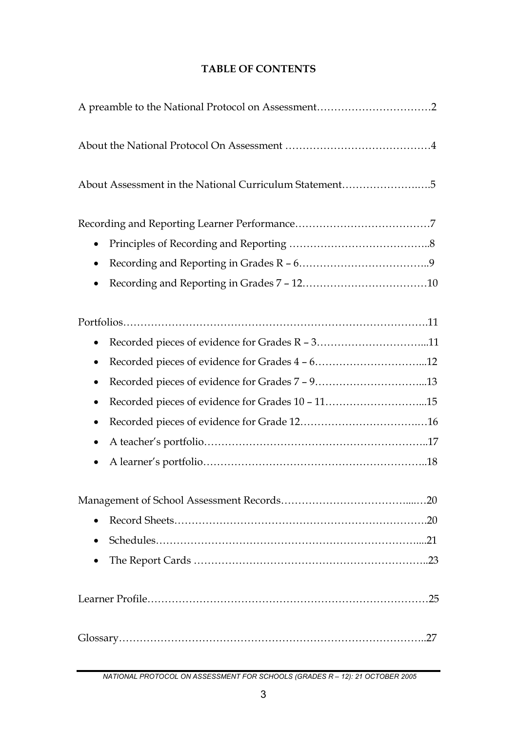| About Assessment in the National Curriculum Statement5 |
|--------------------------------------------------------|
|                                                        |
| $\bullet$                                              |
| $\bullet$                                              |
|                                                        |
|                                                        |
|                                                        |
| $\bullet$                                              |
| $\bullet$                                              |
| $\bullet$                                              |
| $\bullet$                                              |
| $\bullet$                                              |
| $\bullet$                                              |
|                                                        |
|                                                        |
|                                                        |
| $\bullet$                                              |
|                                                        |
| $\bullet$                                              |
|                                                        |
|                                                        |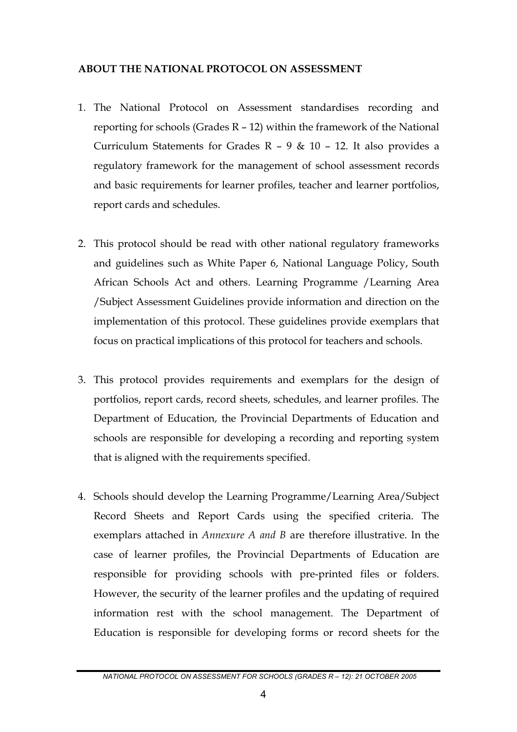#### **ABOUT THE NATIONAL PROTOCOL ON ASSESSMENT**

- 1. The National Protocol on Assessment standardises recording and reporting for schools (Grades R – 12) within the framework of the National Curriculum Statements for Grades R – 9 & 10 – 12. It also provides a regulatory framework for the management of school assessment records and basic requirements for learner profiles, teacher and learner portfolios, report cards and schedules.
- 2. This protocol should be read with other national regulatory frameworks and guidelines such as White Paper 6, National Language Policy, South African Schools Act and others. Learning Programme /Learning Area /Subject Assessment Guidelines provide information and direction on the implementation of this protocol. These guidelines provide exemplars that focus on practical implications of this protocol for teachers and schools.
- 3. This protocol provides requirements and exemplars for the design of portfolios, report cards, record sheets, schedules, and learner profiles. The Department of Education, the Provincial Departments of Education and schools are responsible for developing a recording and reporting system that is aligned with the requirements specified.
- 4. Schools should develop the Learning Programme/Learning Area/Subject Record Sheets and Report Cards using the specified criteria. The exemplars attached in *Annexure A and B* are therefore illustrative. In the case of learner profiles, the Provincial Departments of Education are responsible for providing schools with pre-printed files or folders. However, the security of the learner profiles and the updating of required information rest with the school management. The Department of Education is responsible for developing forms or record sheets for the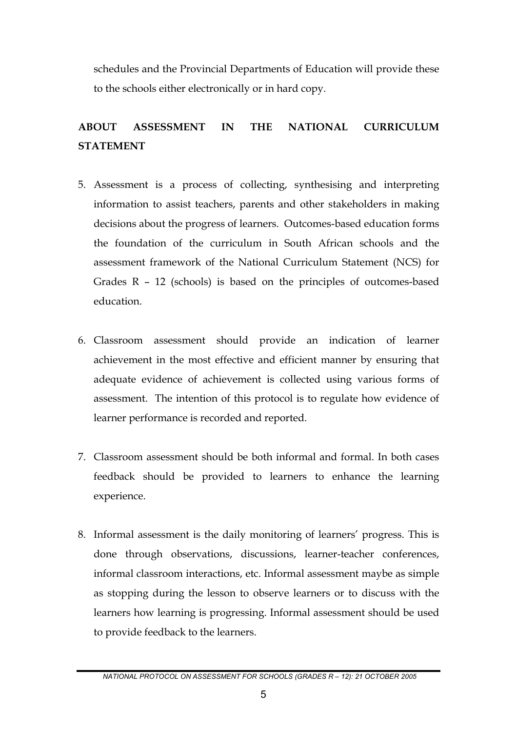schedules and the Provincial Departments of Education will provide these to the schools either electronically or in hard copy.

# **ABOUT ASSESSMENT IN THE NATIONAL CURRICULUM STATEMENT**

- 5. Assessment is a process of collecting, synthesising and interpreting information to assist teachers, parents and other stakeholders in making decisions about the progress of learners. Outcomes-based education forms the foundation of the curriculum in South African schools and the assessment framework of the National Curriculum Statement (NCS) for Grades R – 12 (schools) is based on the principles of outcomes-based education.
- 6. Classroom assessment should provide an indication of learner achievement in the most effective and efficient manner by ensuring that adequate evidence of achievement is collected using various forms of assessment. The intention of this protocol is to regulate how evidence of learner performance is recorded and reported.
- 7. Classroom assessment should be both informal and formal. In both cases feedback should be provided to learners to enhance the learning experience.
- 8. Informal assessment is the daily monitoring of learners' progress. This is done through observations, discussions, learner-teacher conferences, informal classroom interactions, etc. Informal assessment maybe as simple as stopping during the lesson to observe learners or to discuss with the learners how learning is progressing. Informal assessment should be used to provide feedback to the learners.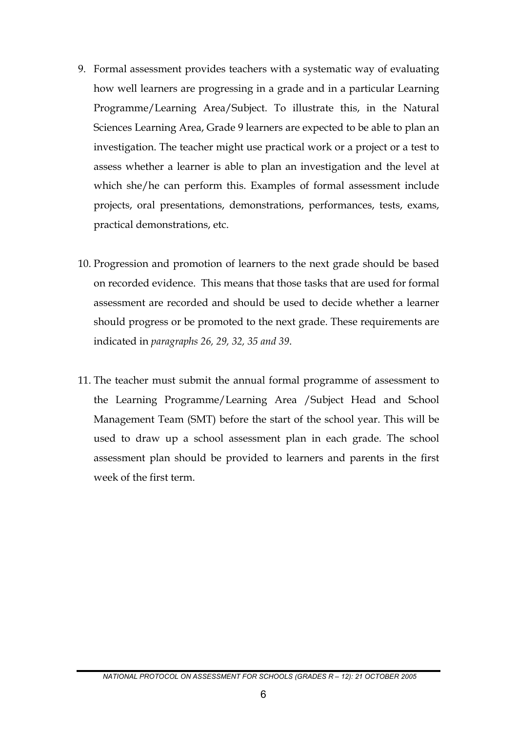- 9. Formal assessment provides teachers with a systematic way of evaluating how well learners are progressing in a grade and in a particular Learning Programme/Learning Area/Subject. To illustrate this, in the Natural Sciences Learning Area, Grade 9 learners are expected to be able to plan an investigation. The teacher might use practical work or a project or a test to assess whether a learner is able to plan an investigation and the level at which she/he can perform this. Examples of formal assessment include projects, oral presentations, demonstrations, performances, tests, exams, practical demonstrations, etc.
- 10. Progression and promotion of learners to the next grade should be based on recorded evidence. This means that those tasks that are used for formal assessment are recorded and should be used to decide whether a learner should progress or be promoted to the next grade. These requirements are indicated in *paragraphs 26, 29, 32, 35 and 39*.
- 11. The teacher must submit the annual formal programme of assessment to the Learning Programme/Learning Area /Subject Head and School Management Team (SMT) before the start of the school year. This will be used to draw up a school assessment plan in each grade. The school assessment plan should be provided to learners and parents in the first week of the first term.

*NATIONAL PROTOCOL ON ASSESSMENT FOR SCHOOLS (GRADES R – 12): 21 OCTOBER 2005*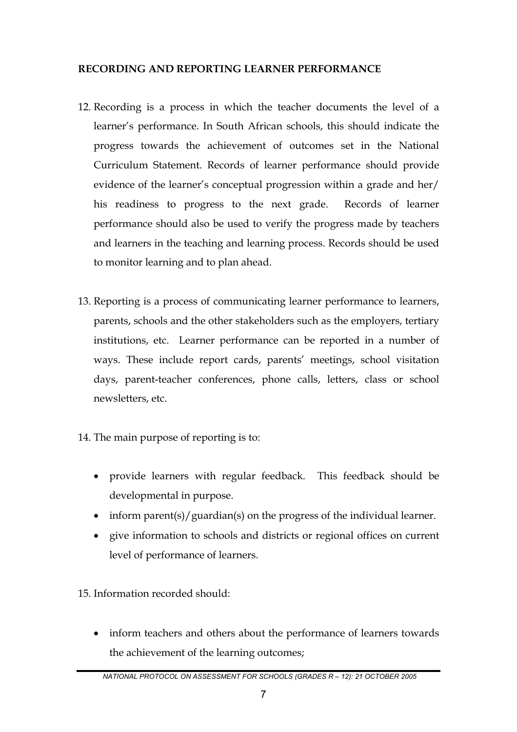## **RECORDING AND REPORTING LEARNER PERFORMANCE**

- 12. Recording is a process in which the teacher documents the level of a learner's performance. In South African schools, this should indicate the progress towards the achievement of outcomes set in the National Curriculum Statement. Records of learner performance should provide evidence of the learner's conceptual progression within a grade and her/ his readiness to progress to the next grade. Records of learner performance should also be used to verify the progress made by teachers and learners in the teaching and learning process. Records should be used to monitor learning and to plan ahead.
- 13. Reporting is a process of communicating learner performance to learners, parents, schools and the other stakeholders such as the employers, tertiary institutions, etc. Learner performance can be reported in a number of ways. These include report cards, parents' meetings, school visitation days, parent-teacher conferences, phone calls, letters, class or school newsletters, etc.
- 14. The main purpose of reporting is to:
	- provide learners with regular feedback. This feedback should be developmental in purpose.
	- inform parent(s)/guardian(s) on the progress of the individual learner.
	- give information to schools and districts or regional offices on current level of performance of learners.

15. Information recorded should:

• inform teachers and others about the performance of learners towards the achievement of the learning outcomes;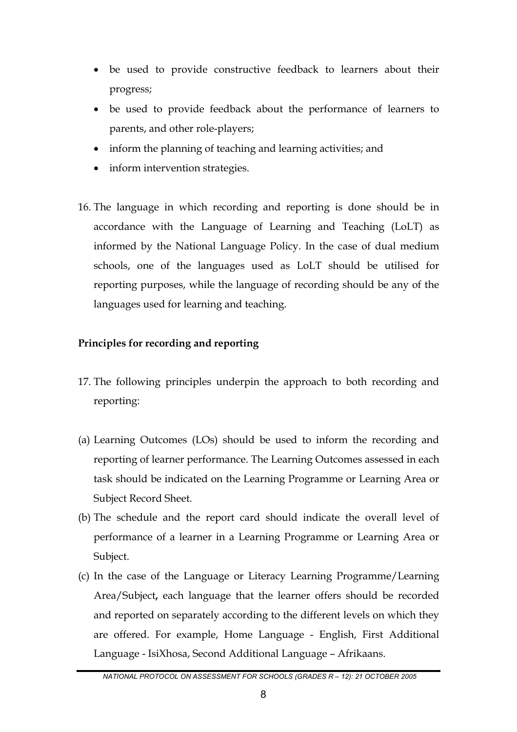- be used to provide constructive feedback to learners about their progress;
- be used to provide feedback about the performance of learners to parents, and other role-players;
- inform the planning of teaching and learning activities; and
- inform intervention strategies.
- 16. The language in which recording and reporting is done should be in accordance with the Language of Learning and Teaching (LoLT) as informed by the National Language Policy. In the case of dual medium schools, one of the languages used as LoLT should be utilised for reporting purposes, while the language of recording should be any of the languages used for learning and teaching.

# **Principles for recording and reporting**

- 17. The following principles underpin the approach to both recording and reporting:
- (a) Learning Outcomes (LOs) should be used to inform the recording and reporting of learner performance. The Learning Outcomes assessed in each task should be indicated on the Learning Programme or Learning Area or Subject Record Sheet.
- (b) The schedule and the report card should indicate the overall level of performance of a learner in a Learning Programme or Learning Area or Subject.
- (c) In the case of the Language or Literacy Learning Programme/Learning Area/Subject**,** each language that the learner offers should be recorded and reported on separately according to the different levels on which they are offered. For example, Home Language - English, First Additional Language - IsiXhosa, Second Additional Language – Afrikaans.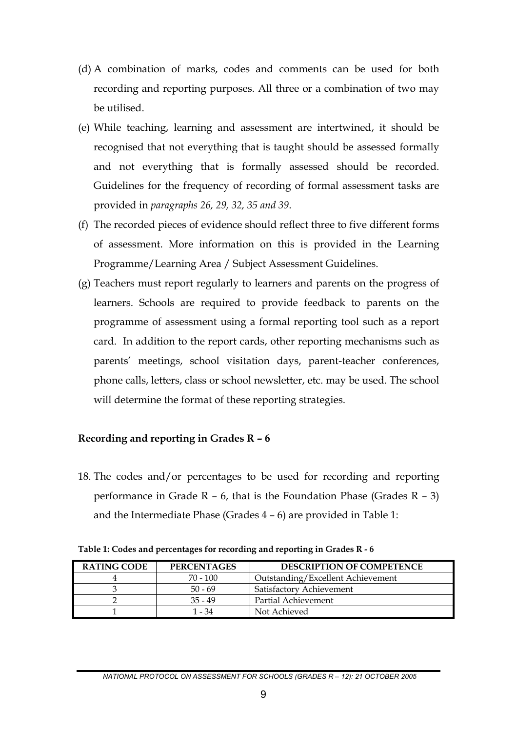- (d) A combination of marks, codes and comments can be used for both recording and reporting purposes. All three or a combination of two may be utilised.
- (e) While teaching, learning and assessment are intertwined, it should be recognised that not everything that is taught should be assessed formally and not everything that is formally assessed should be recorded. Guidelines for the frequency of recording of formal assessment tasks are provided in *paragraphs 26, 29, 32, 35 and 39*.
- (f) The recorded pieces of evidence should reflect three to five different forms of assessment. More information on this is provided in the Learning Programme/Learning Area / Subject Assessment Guidelines.
- (g) Teachers must report regularly to learners and parents on the progress of learners. Schools are required to provide feedback to parents on the programme of assessment using a formal reporting tool such as a report card. In addition to the report cards, other reporting mechanisms such as parents' meetings, school visitation days, parent-teacher conferences, phone calls, letters, class or school newsletter, etc. may be used. The school will determine the format of these reporting strategies.

#### **Recording and reporting in Grades R – 6**

18. The codes and/or percentages to be used for recording and reporting performance in Grade  $R - 6$ , that is the Foundation Phase (Grades  $R - 3$ ) and the Intermediate Phase (Grades 4 – 6) are provided in Table 1:

| <b>RATING CODE</b> | <b>PERCENTAGES</b> | <b>DESCRIPTION OF COMPETENCE</b>  |
|--------------------|--------------------|-----------------------------------|
|                    | $70 - 100$         | Outstanding/Excellent Achievement |
|                    | $50 - 69$          | Satisfactory Achievement          |
|                    | $35 - 49$          | Partial Achievement               |
|                    | 1 - 34             | Not Achieved                      |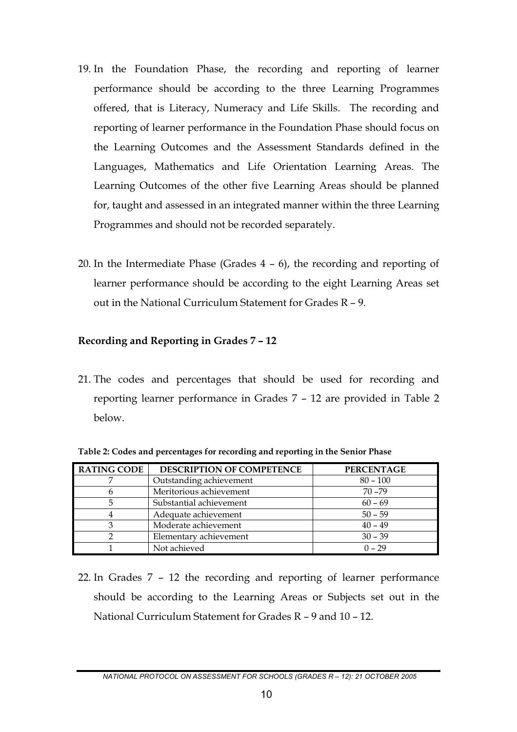- 19. In the Foundation Phase, the recording and reporting of learner performance should be according to the three Learning Programmes offered, that is Literacy, Numeracy and Life Skills. The recording and reporting of learner performance in the Foundation Phase should focus on the Learning Outcomes and the Assessment Standards defined in the Languages, Mathematics and Life Orientation Learning Areas. The Learning Outcomes of the other five Learning Areas should be planned for, taught and assessed in an integrated manner within the three Learning Programmes and should not be recorded separately.
- 20. In the Intermediate Phase (Grades 4 6), the recording and reporting of learner performance should be according to the eight Learning Areas set out in the National Curriculum Statement for Grades R – 9.

#### **Recording and Reporting in Grades 7 – 12**

21. The codes and percentages that should be used for recording and reporting learner performance in Grades 7 – 12 are provided in Table 2 below.

| <b>RATING CODE</b> | <b>DESCRIPTION OF COMPETENCE</b> | <b>PERCENTAGE</b> |
|--------------------|----------------------------------|-------------------|
|                    | Outstanding achievement          | $80 - 100$        |
|                    | Meritorious achievement          | $70 - 79$         |
|                    | Substantial achievement          | $60 - 69$         |
|                    | Adequate achievement             | $50 - 59$         |
|                    | Moderate achievement             | $40 - 49$         |
|                    | Elementary achievement           | $30 - 39$         |
|                    | Not achieved                     | $0 - 29$          |

**Table 2: Codes and percentages for recording and reporting in the Senior Phase** 

22. In Grades 7 – 12 the recording and reporting of learner performance should be according to the Learning Areas or Subjects set out in the National Curriculum Statement for Grades R – 9 and 10 – 12.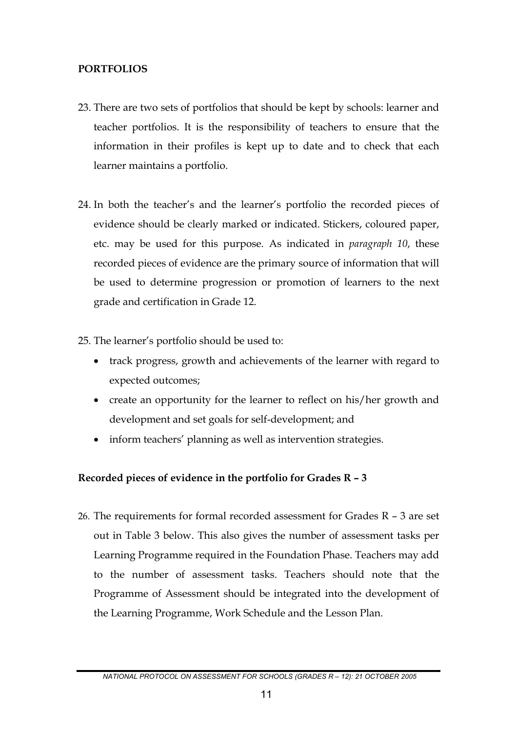### **PORTFOLIOS**

- 23. There are two sets of portfolios that should be kept by schools: learner and teacher portfolios. It is the responsibility of teachers to ensure that the information in their profiles is kept up to date and to check that each learner maintains a portfolio.
- 24. In both the teacher's and the learner's portfolio the recorded pieces of evidence should be clearly marked or indicated. Stickers, coloured paper, etc. may be used for this purpose. As indicated in *paragraph 10*, these recorded pieces of evidence are the primary source of information that will be used to determine progression or promotion of learners to the next grade and certification in Grade 12.
- 25. The learner's portfolio should be used to:
	- track progress, growth and achievements of the learner with regard to expected outcomes; •
	- create an opportunity for the learner to reflect on his/her growth and development and set goals for self-development; and
	- inform teachers' planning as well as intervention strategies.

# **Recorded pieces of evidence in the portfolio for Grades R – 3**

26. The requirements for formal recorded assessment for Grades R – 3 are set out in Table 3 below. This also gives the number of assessment tasks per Learning Programme required in the Foundation Phase. Teachers may add to the number of assessment tasks. Teachers should note that the Programme of Assessment should be integrated into the development of the Learning Programme, Work Schedule and the Lesson Plan.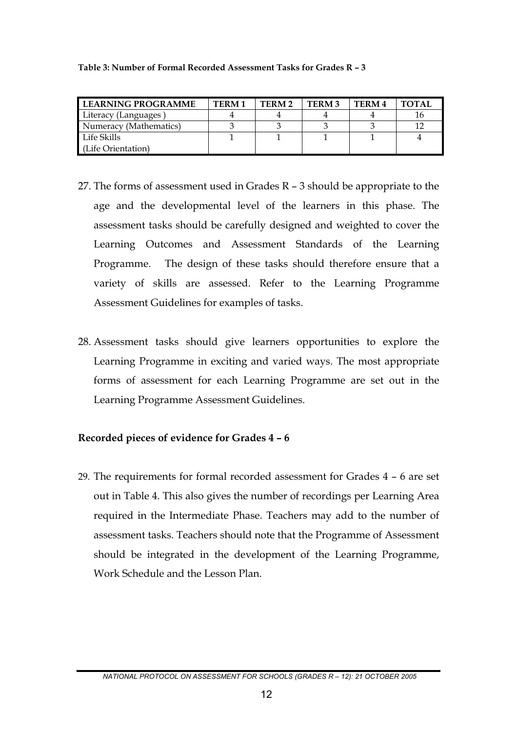#### **Table 3: Number of Formal Recorded Assessment Tasks for Grades R – 3**

| LEARNING PROGRAMME     | TERM <sub>1</sub> | TERM 2 | <b>TERM3</b> | TERM 4 | <b>TOTAL</b> |
|------------------------|-------------------|--------|--------------|--------|--------------|
| Literacy (Languages)   |                   |        |              |        | 16           |
| Numeracy (Mathematics) |                   |        |              |        | 1 ก          |
| Life Skills            |                   |        |              |        |              |
| ∟ife Orientation)      |                   |        |              |        |              |

- 27. The forms of assessment used in Grades R 3 should be appropriate to the age and the developmental level of the learners in this phase. The assessment tasks should be carefully designed and weighted to cover the Learning Outcomes and Assessment Standards of the Learning Programme. The design of these tasks should therefore ensure that a variety of skills are assessed. Refer to the Learning Programme Assessment Guidelines for examples of tasks.
- 28. Assessment tasks should give learners opportunities to explore the Learning Programme in exciting and varied ways. The most appropriate forms of assessment for each Learning Programme are set out in the Learning Programme Assessment Guidelines.

#### **Recorded pieces of evidence for Grades 4 – 6**

29. The requirements for formal recorded assessment for Grades 4 – 6 are set out in Table 4. This also gives the number of recordings per Learning Area required in the Intermediate Phase. Teachers may add to the number of assessment tasks. Teachers should note that the Programme of Assessment should be integrated in the development of the Learning Programme, Work Schedule and the Lesson Plan.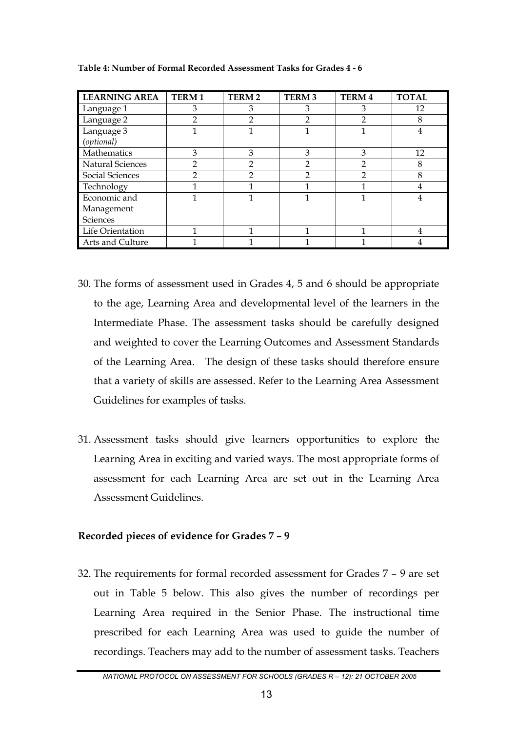| <b>LEARNING AREA</b> | <b>TERM1</b>  | TERM <sub>2</sub> | <b>TERM 3</b>  | <b>TERM4</b>   | <b>TOTAL</b> |
|----------------------|---------------|-------------------|----------------|----------------|--------------|
| Language 1           | 3             | З                 | 3              | З              | 12           |
| Language 2           | 2             | 2                 | 2              | $\mathfrak{p}$ | 8            |
| Language 3           |               |                   |                |                | 4            |
| (optional)           |               |                   |                |                |              |
| Mathematics          | 3             | 3                 | 3              | 3              | 12           |
| Natural Sciences     | っ             | 2                 | $\mathfrak{D}$ | $\mathcal{P}$  | 8            |
| Social Sciences      | $\mathcal{P}$ | 2                 | 2              | $\mathcal{P}$  | 8            |
| Technology           |               |                   |                |                | 4            |
| Economic and         |               |                   |                |                |              |
| Management           |               |                   |                |                |              |
| <b>Sciences</b>      |               |                   |                |                |              |
| Life Orientation     |               |                   |                | 1              |              |
| Arts and Culture     |               |                   |                |                |              |

**Table 4: Number of Formal Recorded Assessment Tasks for Grades 4 - 6** 

- 30. The forms of assessment used in Grades 4, 5 and 6 should be appropriate to the age, Learning Area and developmental level of the learners in the Intermediate Phase. The assessment tasks should be carefully designed and weighted to cover the Learning Outcomes and Assessment Standards of the Learning Area. The design of these tasks should therefore ensure that a variety of skills are assessed. Refer to the Learning Area Assessment Guidelines for examples of tasks.
- 31. Assessment tasks should give learners opportunities to explore the Learning Area in exciting and varied ways. The most appropriate forms of assessment for each Learning Area are set out in the Learning Area Assessment Guidelines.

#### **Recorded pieces of evidence for Grades 7 – 9**

32. The requirements for formal recorded assessment for Grades 7 – 9 are set out in Table 5 below. This also gives the number of recordings per Learning Area required in the Senior Phase. The instructional time prescribed for each Learning Area was used to guide the number of recordings. Teachers may add to the number of assessment tasks. Teachers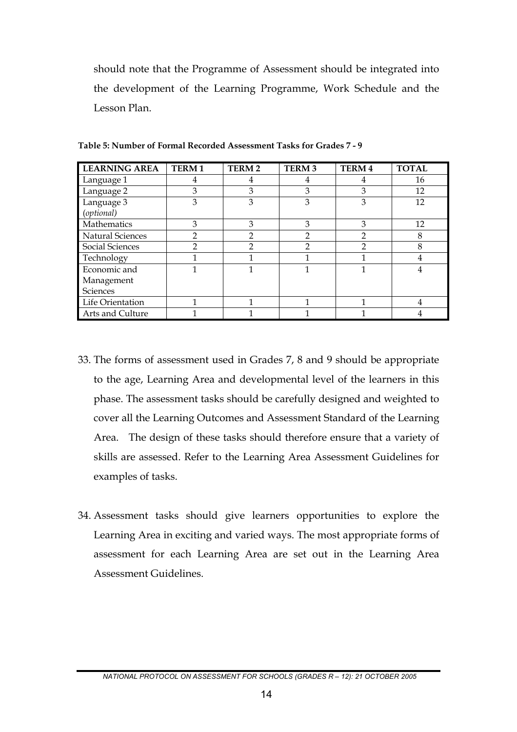should note that the Programme of Assessment should be integrated into the development of the Learning Programme, Work Schedule and the Lesson Plan.

| <b>LEARNING AREA</b>    | <b>TERM1</b> | <b>TERM2</b>  | <b>TERM3</b> | <b>TERM4</b> | <b>TOTAL</b> |
|-------------------------|--------------|---------------|--------------|--------------|--------------|
| Language 1              | 4            | 4             | 4            |              | 16           |
| Language 2              | 3            | 3             | 3            | 3            | 12           |
| Language 3              | 3            | 3             | 3            | 3            | 12           |
| (optional)              |              |               |              |              |              |
| Mathematics             | 3            | 3             | 3            | 3            | 12           |
| <b>Natural Sciences</b> | 2            | $\mathcal{P}$ | 2            | 2            | 8            |
| Social Sciences         | 2            | $\mathcal{P}$ | 2            | 2            | 8            |
| Technology              |              |               |              |              |              |
| Economic and            |              |               |              |              |              |
| Management              |              |               |              |              |              |
| Sciences                |              |               |              |              |              |
| Life Orientation        |              |               |              | 1            | 4            |
| Arts and Culture        |              |               |              |              |              |

**Table 5: Number of Formal Recorded Assessment Tasks for Grades 7 - 9** 

- 33. The forms of assessment used in Grades 7, 8 and 9 should be appropriate to the age, Learning Area and developmental level of the learners in this phase. The assessment tasks should be carefully designed and weighted to cover all the Learning Outcomes and Assessment Standard of the Learning Area. The design of these tasks should therefore ensure that a variety of skills are assessed. Refer to the Learning Area Assessment Guidelines for examples of tasks.
- 34. Assessment tasks should give learners opportunities to explore the Learning Area in exciting and varied ways. The most appropriate forms of assessment for each Learning Area are set out in the Learning Area Assessment Guidelines.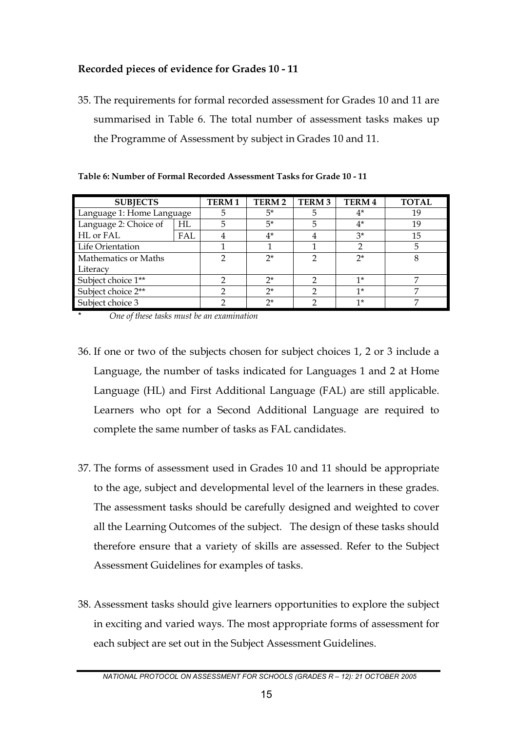# **Recorded pieces of evidence for Grades 10 - 11**

35. The requirements for formal recorded assessment for Grades 10 and 11 are summarised in Table 6. The total number of assessment tasks makes up the Programme of Assessment by subject in Grades 10 and 11.

| <b>SUBJECTS</b>           |     | <b>TERM1</b> | TERM <sub>2</sub> | TERM <sub>3</sub> | TERM 4 | <b>TOTAL</b> |
|---------------------------|-----|--------------|-------------------|-------------------|--------|--------------|
| Language 1: Home Language |     | 5            | 5*                | 5                 | $4^*$  | 19           |
| Language 2: Choice of     | HL  | 5            | $5*$              | 5                 | $4^*$  | 19           |
| HL or FAL                 | FAL |              | $4^*$             | 4                 | $3^*$  | 15           |
| Life Orientation          |     |              |                   |                   |        | 5            |
| Mathematics or Maths      |     |              | $2^*$             |                   | $2^*$  | 8            |
| Literacy                  |     |              |                   |                   |        |              |
| Subject choice 1**        |     |              | $2^*$             | ∍                 | $1*$   |              |
| Subject choice 2**        |     |              | $2^*$             |                   | $1*$   |              |
| Subject choice 3          |     |              | ግ*                |                   | $1*$   | ∍            |

**Table 6: Number of Formal Recorded Assessment Tasks for Grade 10 - 11**

\* *One of these tasks must be an examination* 

- 36. If one or two of the subjects chosen for subject choices 1, 2 or 3 include a Language, the number of tasks indicated for Languages 1 and 2 at Home Language (HL) and First Additional Language (FAL) are still applicable. Learners who opt for a Second Additional Language are required to complete the same number of tasks as FAL candidates.
- 37. The forms of assessment used in Grades 10 and 11 should be appropriate to the age, subject and developmental level of the learners in these grades. The assessment tasks should be carefully designed and weighted to cover all the Learning Outcomes of the subject. The design of these tasks should therefore ensure that a variety of skills are assessed. Refer to the Subject Assessment Guidelines for examples of tasks.
- 38. Assessment tasks should give learners opportunities to explore the subject in exciting and varied ways. The most appropriate forms of assessment for each subject are set out in the Subject Assessment Guidelines.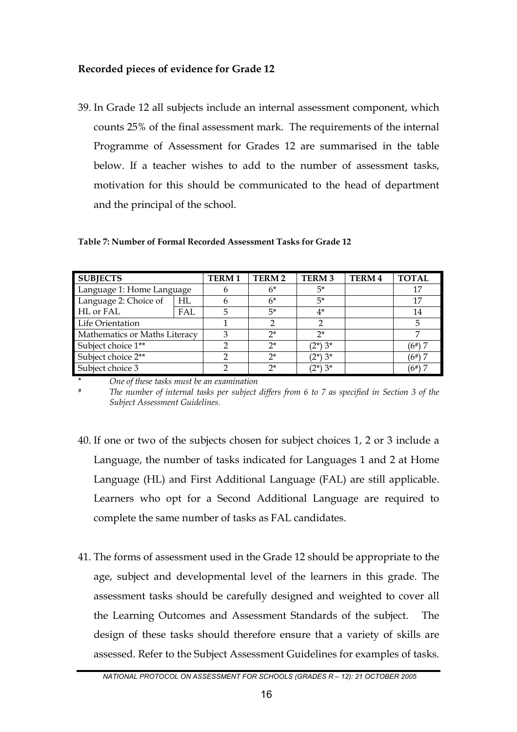### **Recorded pieces of evidence for Grade 12**

39. In Grade 12 all subjects include an internal assessment component, which counts 25% of the final assessment mark. The requirements of the internal Programme of Assessment for Grades 12 are summarised in the table below. If a teacher wishes to add to the number of assessment tasks, motivation for this should be communicated to the head of department and the principal of the school.

| <b>SUBJECTS</b>               |     | <b>TERM1</b> | <b>TERM2</b> | <b>TERM3</b> | <b>TERM4</b> | <b>TOTAL</b> |
|-------------------------------|-----|--------------|--------------|--------------|--------------|--------------|
| Language 1: Home Language     |     |              | $6*$         | 5*           |              | 17           |
| Language 2: Choice of         | HI. |              | $6*$         | $5*$         |              | 17           |
| HL or FAL                     | FAL |              | 5*           | $4^*$        |              | 14           |
| Life Orientation              |     |              |              |              |              |              |
| Mathematics or Maths Literacy |     |              | $2^*$        | $2^*$        |              |              |
| Subject choice 1**            |     |              | $2^*$        | $(2^*)$ 3*   |              | $(6\#)$      |
| Subject choice 2**            |     |              | 2*           | $(2^*)$ 3*   |              | $(6^{*})$    |
| Subject choice 3              |     |              | つ*           | $(2^*)$ 3*   |              | $(6\#)$      |

**Table 7: Number of Formal Recorded Assessment Tasks for Grade 12** 

*One of these tasks must be an examination*<br>The number of internal tasks per subject differs from 6 to 7 as specified in Section 3 of the *Subject Assessment Guidelines.* 

- 40. If one or two of the subjects chosen for subject choices 1, 2 or 3 include a Language, the number of tasks indicated for Languages 1 and 2 at Home Language (HL) and First Additional Language (FAL) are still applicable. Learners who opt for a Second Additional Language are required to complete the same number of tasks as FAL candidates.
- 41. The forms of assessment used in the Grade 12 should be appropriate to the age, subject and developmental level of the learners in this grade. The assessment tasks should be carefully designed and weighted to cover all the Learning Outcomes and Assessment Standards of the subject. The design of these tasks should therefore ensure that a variety of skills are assessed. Refer to the Subject Assessment Guidelines for examples of tasks.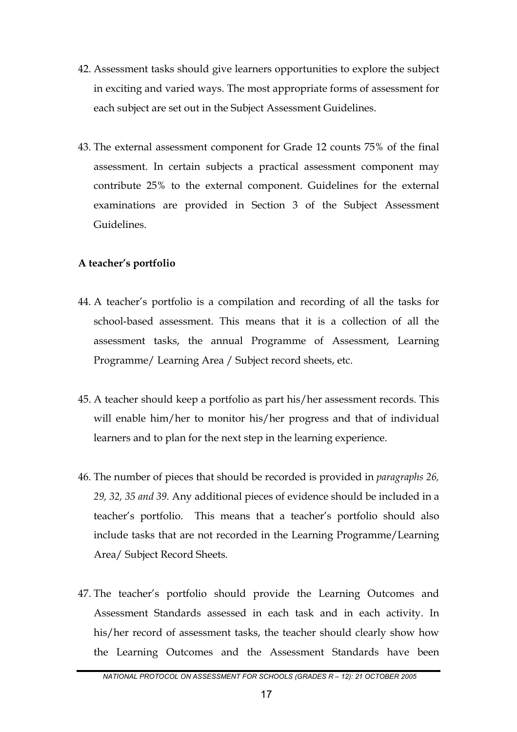- 42. Assessment tasks should give learners opportunities to explore the subject in exciting and varied ways. The most appropriate forms of assessment for each subject are set out in the Subject Assessment Guidelines.
- 43. The external assessment component for Grade 12 counts 75% of the final assessment. In certain subjects a practical assessment component may contribute 25% to the external component. Guidelines for the external examinations are provided in Section 3 of the Subject Assessment Guidelines.

#### **A teacher's portfolio**

- 44. A teacher's portfolio is a compilation and recording of all the tasks for school-based assessment. This means that it is a collection of all the assessment tasks, the annual Programme of Assessment, Learning Programme/ Learning Area / Subject record sheets, etc.
- 45. A teacher should keep a portfolio as part his/her assessment records. This will enable him/her to monitor his/her progress and that of individual learners and to plan for the next step in the learning experience.
- 46. The number of pieces that should be recorded is provided in *paragraphs 26, 29, 32, 35 and 39.* Any additional pieces of evidence should be included in a teacher's portfolio. This means that a teacher's portfolio should also include tasks that are not recorded in the Learning Programme/Learning Area/ Subject Record Sheets.
- 47. The teacher's portfolio should provide the Learning Outcomes and Assessment Standards assessed in each task and in each activity. In his/her record of assessment tasks, the teacher should clearly show how the Learning Outcomes and the Assessment Standards have been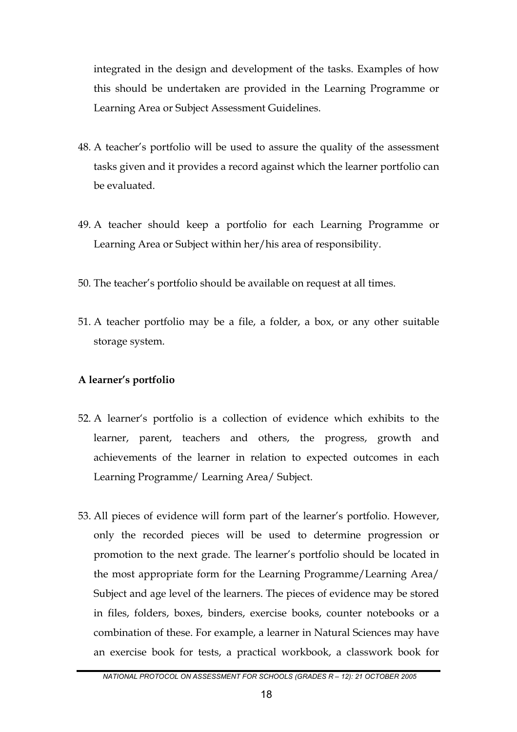integrated in the design and development of the tasks. Examples of how this should be undertaken are provided in the Learning Programme or Learning Area or Subject Assessment Guidelines.

- 48. A teacher's portfolio will be used to assure the quality of the assessment tasks given and it provides a record against which the learner portfolio can be evaluated.
- 49. A teacher should keep a portfolio for each Learning Programme or Learning Area or Subject within her/his area of responsibility.
- 50. The teacher's portfolio should be available on request at all times.
- 51. A teacher portfolio may be a file, a folder, a box, or any other suitable storage system.

#### **A learner's portfolio**

- 52. A learner's portfolio is a collection of evidence which exhibits to the learner, parent, teachers and others, the progress, growth and achievements of the learner in relation to expected outcomes in each Learning Programme/ Learning Area/ Subject.
- 53. All pieces of evidence will form part of the learner's portfolio. However, only the recorded pieces will be used to determine progression or promotion to the next grade. The learner's portfolio should be located in the most appropriate form for the Learning Programme/Learning Area/ Subject and age level of the learners. The pieces of evidence may be stored in files, folders, boxes, binders, exercise books, counter notebooks or a combination of these. For example, a learner in Natural Sciences may have an exercise book for tests, a practical workbook, a classwork book for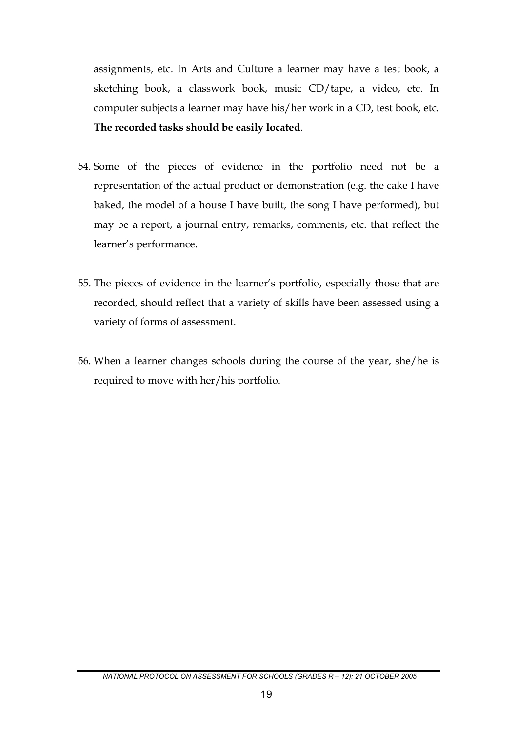assignments, etc. In Arts and Culture a learner may have a test book, a sketching book, a classwork book, music CD/tape, a video, etc. In computer subjects a learner may have his/her work in a CD, test book, etc. **The recorded tasks should be easily located**.

- 54. Some of the pieces of evidence in the portfolio need not be a representation of the actual product or demonstration (e.g. the cake I have baked, the model of a house I have built, the song I have performed), but may be a report, a journal entry, remarks, comments, etc. that reflect the learner's performance.
- 55. The pieces of evidence in the learner's portfolio, especially those that are recorded, should reflect that a variety of skills have been assessed using a variety of forms of assessment.
- 56. When a learner changes schools during the course of the year, she/he is required to move with her/his portfolio.

*NATIONAL PROTOCOL ON ASSESSMENT FOR SCHOOLS (GRADES R – 12): 21 OCTOBER 2005*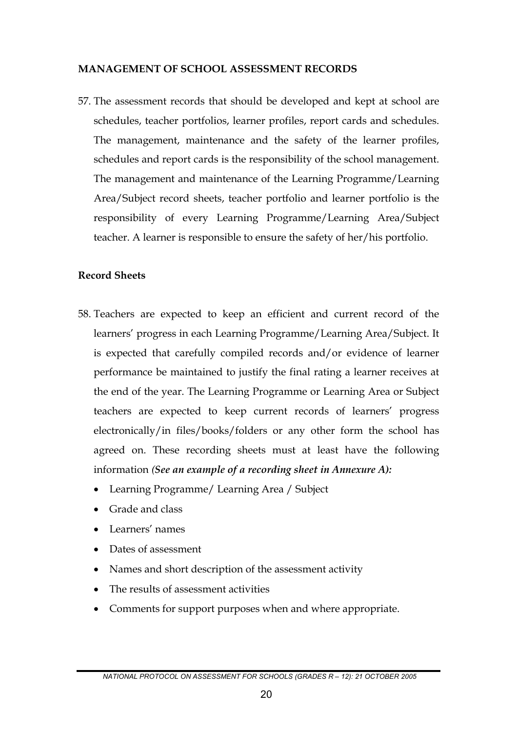#### **MANAGEMENT OF SCHOOL ASSESSMENT RECORDS**

57. The assessment records that should be developed and kept at school are schedules, teacher portfolios, learner profiles, report cards and schedules. The management, maintenance and the safety of the learner profiles, schedules and report cards is the responsibility of the school management. The management and maintenance of the Learning Programme/Learning Area/Subject record sheets, teacher portfolio and learner portfolio is the responsibility of every Learning Programme/Learning Area/Subject teacher. A learner is responsible to ensure the safety of her/his portfolio.

#### **Record Sheets**

- 58. Teachers are expected to keep an efficient and current record of the learners' progress in each Learning Programme/Learning Area/Subject. It is expected that carefully compiled records and/or evidence of learner performance be maintained to justify the final rating a learner receives at the end of the year. The Learning Programme or Learning Area or Subject teachers are expected to keep current records of learners' progress electronically/in files/books/folders or any other form the school has agreed on. These recording sheets must at least have the following information *(See an example of a recording sheet in Annexure A):*
	- Learning Programme/ Learning Area / Subject
	- Grade and class
	- Learners' names
	- Dates of assessment
	- Names and short description of the assessment activity
	- The results of assessment activities
	- Comments for support purposes when and where appropriate.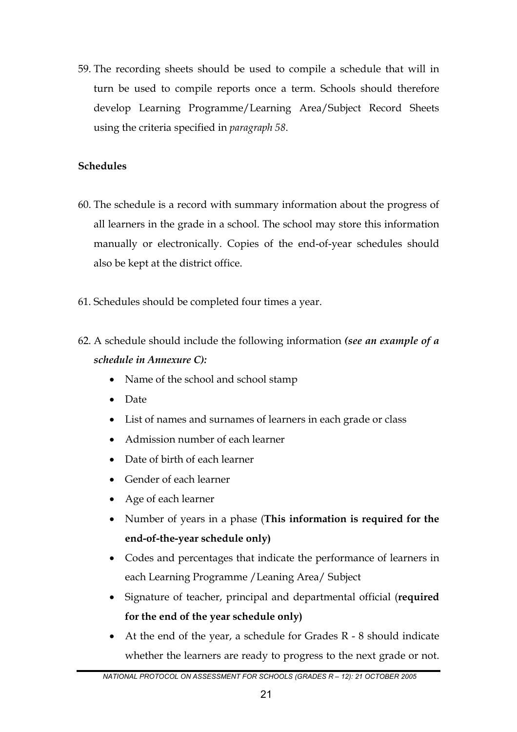59. The recording sheets should be used to compile a schedule that will in turn be used to compile reports once a term. Schools should therefore develop Learning Programme/Learning Area/Subject Record Sheets using the criteria specified in *paragraph 58*.

# **Schedules**

- 60. The schedule is a record with summary information about the progress of all learners in the grade in a school. The school may store this information manually or electronically. Copies of the end-of-year schedules should also be kept at the district office.
- 61. Schedules should be completed four times a year.
- 62. A schedule should include the following information *(see an example of a schedule in Annexure C):*
	- Name of the school and school stamp
	- Date
	- List of names and surnames of learners in each grade or class
	- Admission number of each learner
	- Date of birth of each learner
	- Gender of each learner
	- Age of each learner
	- Number of years in a phase (**This information is required for the end-of-the-year schedule only)**
	- Codes and percentages that indicate the performance of learners in each Learning Programme /Leaning Area/ Subject
	- Signature of teacher, principal and departmental official (**required for the end of the year schedule only)**
	- At the end of the year, a schedule for Grades  $R 8$  should indicate whether the learners are ready to progress to the next grade or not.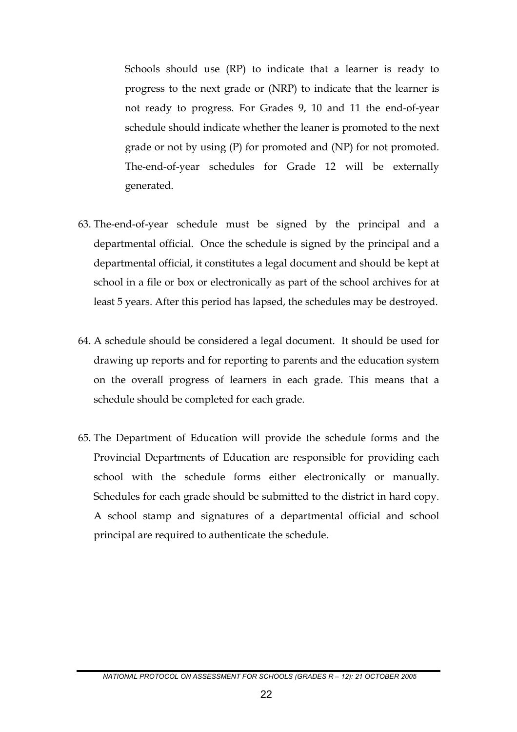Schools should use (RP) to indicate that a learner is ready to progress to the next grade or (NRP) to indicate that the learner is not ready to progress. For Grades 9, 10 and 11 the end-of-year schedule should indicate whether the leaner is promoted to the next grade or not by using (P) for promoted and (NP) for not promoted. The-end-of-year schedules for Grade 12 will be externally generated.

- 63. The-end-of-year schedule must be signed by the principal and a departmental official. Once the schedule is signed by the principal and a departmental official, it constitutes a legal document and should be kept at school in a file or box or electronically as part of the school archives for at least 5 years. After this period has lapsed, the schedules may be destroyed.
- 64. A schedule should be considered a legal document. It should be used for drawing up reports and for reporting to parents and the education system on the overall progress of learners in each grade. This means that a schedule should be completed for each grade.
- 65. The Department of Education will provide the schedule forms and the Provincial Departments of Education are responsible for providing each school with the schedule forms either electronically or manually. Schedules for each grade should be submitted to the district in hard copy. A school stamp and signatures of a departmental official and school principal are required to authenticate the schedule.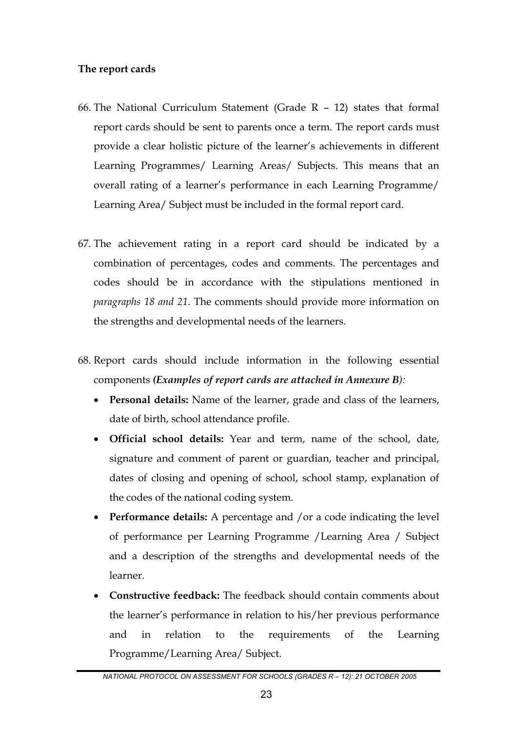#### **The report cards**

- 66. The National Curriculum Statement (Grade R 12) states that formal report cards should be sent to parents once a term. The report cards must provide a clear holistic picture of the learner's achievements in different Learning Programmes/ Learning Areas/ Subjects. This means that an overall rating of a learner's performance in each Learning Programme/ Learning Area/ Subject must be included in the formal report card.
- 67. The achievement rating in a report card should be indicated by a combination of percentages, codes and comments. The percentages and codes should be in accordance with the stipulations mentioned in *paragraphs 18 and 21*. The comments should provide more information on the strengths and developmental needs of the learners.
- 68. Report cards should include information in the following essential components *(Examples of report cards are attached in Annexure B):*
	- **Personal details:** Name of the learner, grade and class of the learners, date of birth, school attendance profile.
	- **Official school details:** Year and term, name of the school, date, signature and comment of parent or guardian, teacher and principal, dates of closing and opening of school, school stamp, explanation of the codes of the national coding system.
	- **Performance details:** A percentage and /or a code indicating the level of performance per Learning Programme /Learning Area / Subject and a description of the strengths and developmental needs of the learner.
	- **Constructive feedback:** The feedback should contain comments about the learner's performance in relation to his/her previous performance and in relation to the requirements of the Learning Programme/Learning Area/ Subject.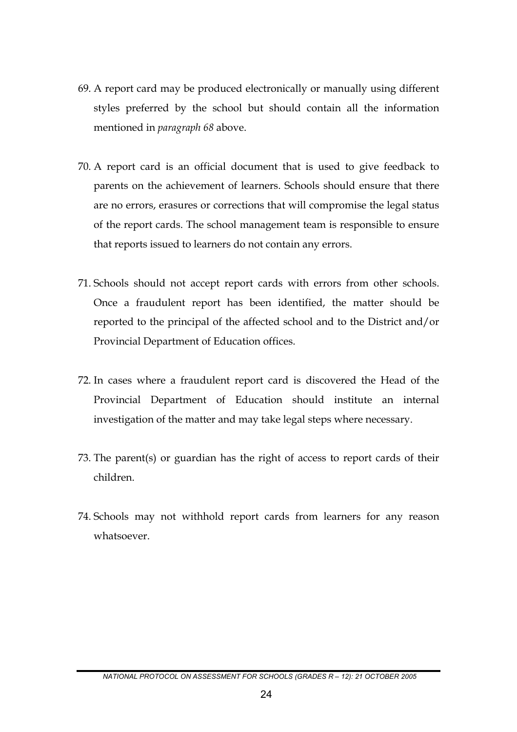- 69. A report card may be produced electronically or manually using different styles preferred by the school but should contain all the information mentioned in *paragraph 68* above.
- 70. A report card is an official document that is used to give feedback to parents on the achievement of learners. Schools should ensure that there are no errors, erasures or corrections that will compromise the legal status of the report cards. The school management team is responsible to ensure that reports issued to learners do not contain any errors.
- 71. Schools should not accept report cards with errors from other schools. Once a fraudulent report has been identified, the matter should be reported to the principal of the affected school and to the District and/or Provincial Department of Education offices.
- 72. In cases where a fraudulent report card is discovered the Head of the Provincial Department of Education should institute an internal investigation of the matter and may take legal steps where necessary.
- 73. The parent(s) or guardian has the right of access to report cards of their children.
- 74. Schools may not withhold report cards from learners for any reason whatsoever.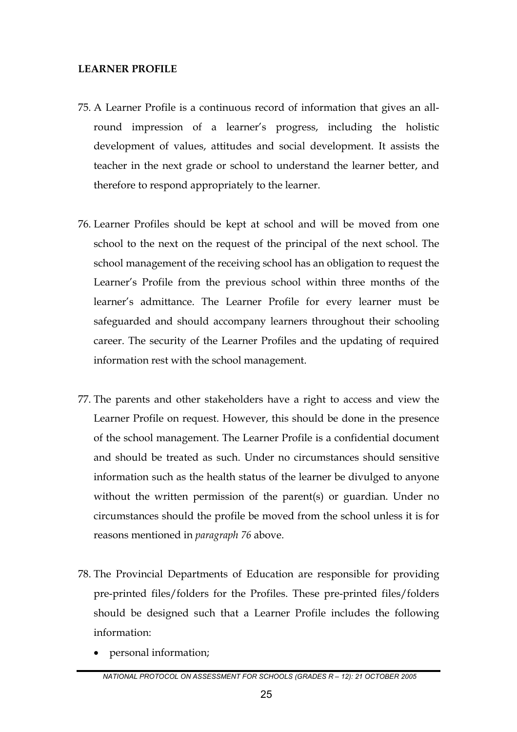#### **LEARNER PROFILE**

- 75. A Learner Profile is a continuous record of information that gives an allround impression of a learner's progress, including the holistic development of values, attitudes and social development. It assists the teacher in the next grade or school to understand the learner better, and therefore to respond appropriately to the learner.
- 76. Learner Profiles should be kept at school and will be moved from one school to the next on the request of the principal of the next school. The school management of the receiving school has an obligation to request the Learner's Profile from the previous school within three months of the learner's admittance. The Learner Profile for every learner must be safeguarded and should accompany learners throughout their schooling career. The security of the Learner Profiles and the updating of required information rest with the school management.
- 77. The parents and other stakeholders have a right to access and view the Learner Profile on request. However, this should be done in the presence of the school management. The Learner Profile is a confidential document and should be treated as such. Under no circumstances should sensitive information such as the health status of the learner be divulged to anyone without the written permission of the parent(s) or guardian. Under no circumstances should the profile be moved from the school unless it is for reasons mentioned in *paragraph 76* above.
- 78. The Provincial Departments of Education are responsible for providing pre-printed files/folders for the Profiles. These pre-printed files/folders should be designed such that a Learner Profile includes the following information:
	- personal information;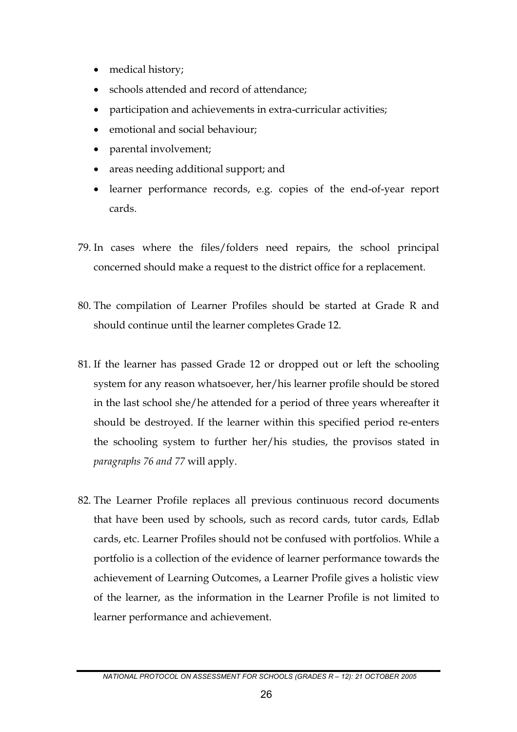- medical history;
- schools attended and record of attendance;
- participation and achievements in extra-curricular activities;
- emotional and social behaviour;
- parental involvement;
- areas needing additional support; and
- learner performance records, e.g. copies of the end-of-year report cards.
- 79. In cases where the files/folders need repairs, the school principal concerned should make a request to the district office for a replacement.
- 80. The compilation of Learner Profiles should be started at Grade R and should continue until the learner completes Grade 12.
- 81. If the learner has passed Grade 12 or dropped out or left the schooling system for any reason whatsoever, her/his learner profile should be stored in the last school she/he attended for a period of three years whereafter it should be destroyed. If the learner within this specified period re-enters the schooling system to further her/his studies, the provisos stated in *paragraphs 76 and 77* will apply.
- 82. The Learner Profile replaces all previous continuous record documents that have been used by schools, such as record cards, tutor cards, Edlab cards, etc. Learner Profiles should not be confused with portfolios. While a portfolio is a collection of the evidence of learner performance towards the achievement of Learning Outcomes, a Learner Profile gives a holistic view of the learner, as the information in the Learner Profile is not limited to learner performance and achievement.